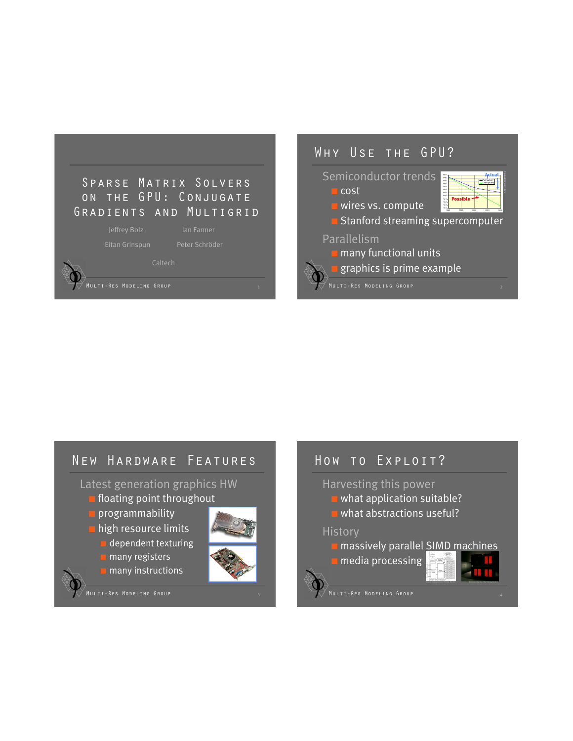

# Caltech

# Why Use the GPU?

#### Semiconductor trends

■ wires vs. compute

■ cost

| $10 + 7$<br>1645<br>5645<br>5644<br>5843<br>$10 + 2$<br>$10 + 1$<br>$30 + 0$<br>$10 - 1$<br>$10 - 2$<br>$10-3$ |      |      | Actual:<br>$D = 1$ |      |
|----------------------------------------------------------------------------------------------------------------|------|------|--------------------|------|
| ta.<br>1980                                                                                                    | 1990 | 2000 | 2010               | 2020 |

Chart courtesy Bill Dally

■ Stanford streaming supercomputer

#### Parallelism

- many functional units
- **graphics is prime example**
- 

# New Hardware Features Latest generation graphics HW **I** floating point throughout

- **D** programmability
- high resource limits
	- dependent texturing
	- **<u>■ many registers</u>**
	- many instructions



MULTI-RES MODELING GROUP

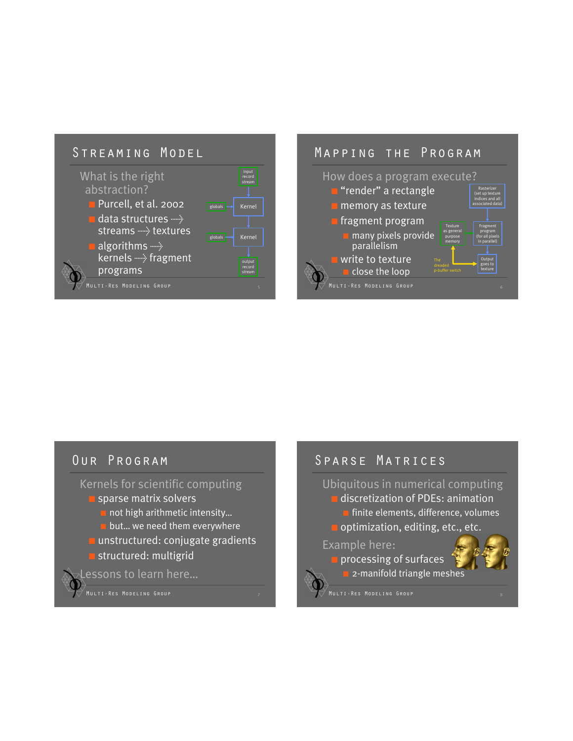



#### Our Program

#### Kernels for scientific computing

- sparse matrix solvers
	- not high arithmetic intensity...
	- **D** but... we need them everywhere
- **<u>■ unstructured:</u>** conjugate gradients ■ structured: multigrid

Lessons to learn here…

MULTI-RES MODELING GROUP

## Sparse Matrices

#### Ubiquitous in numerical computing

- discretization of PDEs: animation
- finite elements, difference, volumes
- optimization, editing, etc., etc.

#### Example here:

- processing of surfaces
	- 2-manifold triangle meshes
- MULTI-RES MODELING GROUP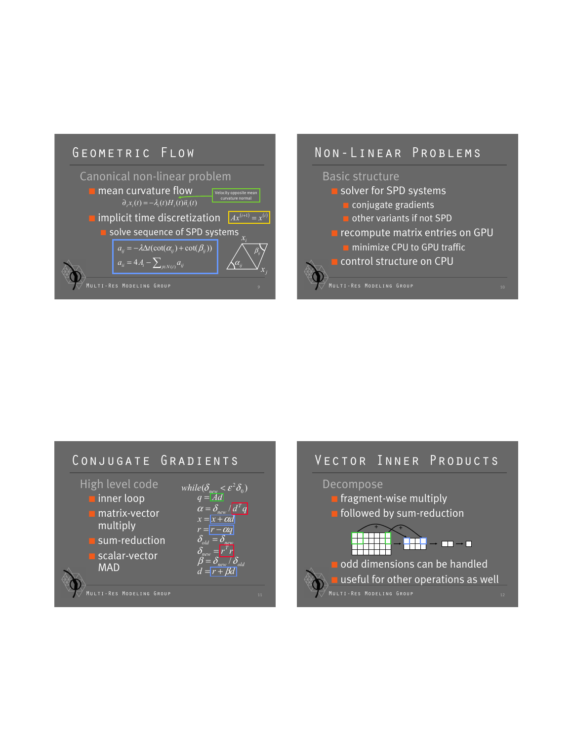

#### Non-Linear Problems





#### Vector Inner Products

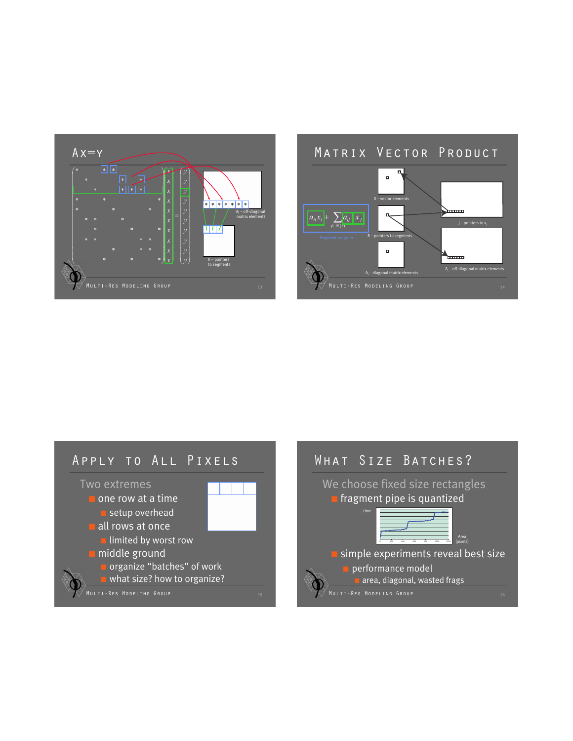



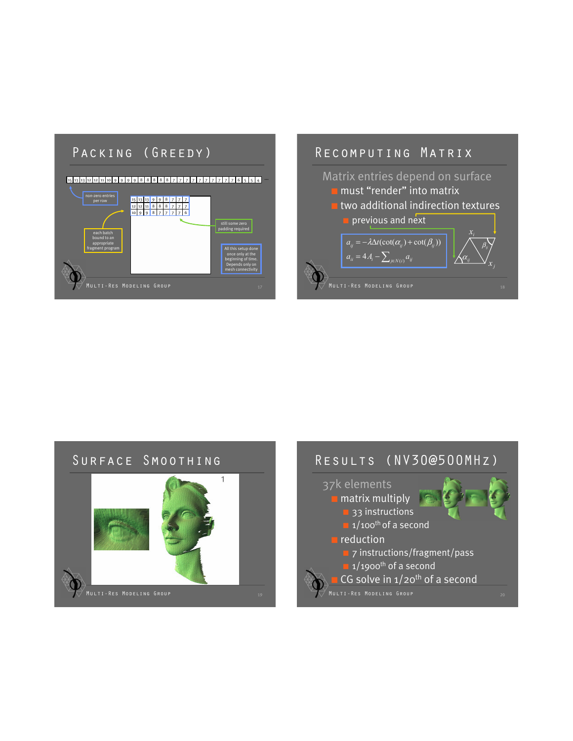# PACKING (GREEDY)

#### Multi-Res Modeling Group 15 13 13 12 12 11 10 9 9 9 9 8 8 8 8 8 7 7 7 7 7 7 7 7 7 7 6 5 5 4 … 15 13 13 12 12 11 10 9 9 9 9 8<br>8 8 8<br>8 7 7 7 7 7<br>7 7 7<br>7 7 6 non-zero entries per row each batch bound to an appropriate fragment program still some zero padding required All this setup done once only at the beginning of time. Depends only on mesh connectivity

# Recomputing Matrix Matrix entries depend on surface **<u>■ must "render" into matrix</u> I** two additional indirection textures **P** previous and next  $a_{ii} = 4A_i - \sum_{j \in N(i)} a_{ij}$  $a_{ij} = -\lambda \Delta t (\cot(\alpha_{ij}) + \cot(\beta_{ij}))$ *i x <sup>j</sup> <sup>x</sup>* <sup>α</sup>*ij*  $\beta_{_{ij}}$

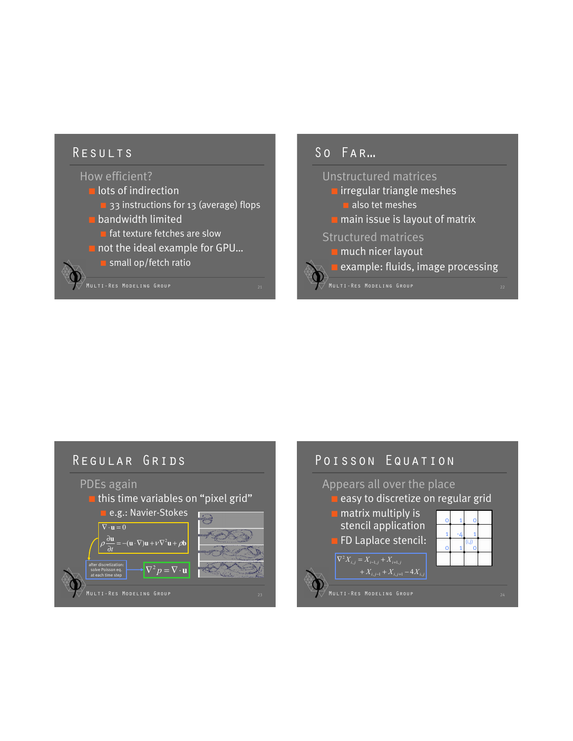#### Results

# How efficient?

- lots of indirection
	- 33 instructions for 13 (average) flops
- bandwidth limited
	- fat texture fetches are slow
- not the ideal example for GPU...
	- small op/fetch ratio

# $SO$   $FAR...$ Unstructured matrices ■ irregular triangle meshes ■ also tet meshes ■ main issue is layout of matrix Structured matrices ■ much nicer layout **example: fluids, image processing**

#### MULTI-RES MODELING GROUP Regular Grids PDEs again this time variables on "pixel grid" e.g.: Navier-Stokes  $\rho \frac{\partial \mathbf{u}}{\partial t} = -(\mathbf{u} \cdot \nabla) \mathbf{u} + \nu \nabla^2 \mathbf{u} + \rho \mathbf{b}$  $\nabla \cdot \mathbf{u} = 0$  $\partial$ u *t* after discretization:<br>solve Poisson eq.<br>at each time stap solve Poisson eq. at each time step Poisson Equation Appears all over the place easy to discretize on regular grid ■ matrix multiply is stencil application **FD Laplace stencil:** -4 1 1  $1 -4 1$  $\circ$  $\circ$ 0 0  $+ X_{i,j-1} + X_{i,j+1} - 4X_{i,j}$  $\nabla^2 X_{i,j} = X_{i-1,j} + X_{i+1,j}$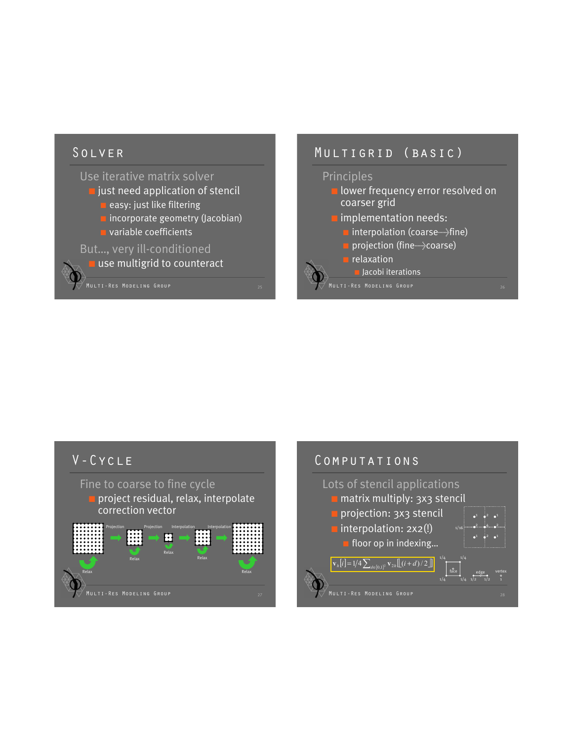## Solver

Use iterative matrix solver ■ just need application of stencil ■ easy: just like filtering ■ incorporate geometry (Jacobian) **D** variable coefficients But…, very ill-conditioned **u** use multigrid to counteract

## Multigrid (basic)

#### Principles

**B** lower frequency error resolved on coarser grid ■ implementation needs:

- interpolation (coarse + fine)
- projection (fine>coarse)
- relaxation

■ Jacobi iterations

Multi-Res Modeling Group <sup>26</sup>

#### V-Cycle

Fine to coarse to fine cycle ■ project residual, relax, interpolate

correction vector



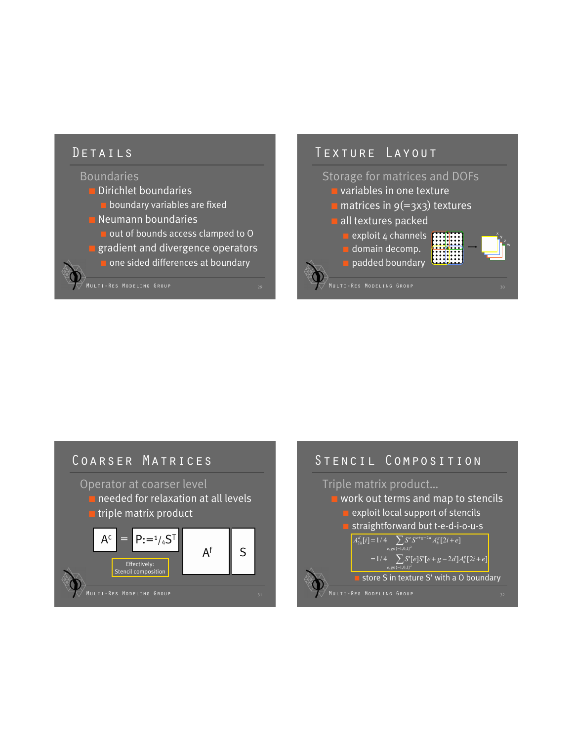### Details

#### Boundaries

- Dirichlet boundaries
	- **D** boundary variables are fixed
- Neumann boundaries
	- out of bounds access clamped to O
- **<u>■</u>** gradient and divergence operators
	- one sided differences at boundary

# Texture Layout

#### Storage for matrices and DOFs

- variables in one texture
- $\blacksquare$  matrices in  $9(=\frac{3}{3})$  textures
- all textures packed
	- **exploit 4 channels** ■ domain decomp.
	- padded boundary



#### **MULTI-RES MODELING GROUP**

## Coarser Matrices

Operator at coarser level

- needed for relaxation at all levels
- triple matrix product



#### Stencil Composition Triple matrix product… work out terms and map to stencils exploit local support of stencils straightforward but t-e-d-i-o-u-s  $A_{2h}^d[i] = 1/4$   $\sum S^e S^{e+g-2d} A_h^g[2i+e]$  $, g \in \{-1, 0, 1\}$

 $= 1/4$   $\sum S'[e]S'[e+g-2d]A_{h}^{g}[2i+e]$  $, g \in \{-1, 0, 1\}$ *e g*

#### store S in texture S' with a O boundary

MULTI-RES MODELING GROUP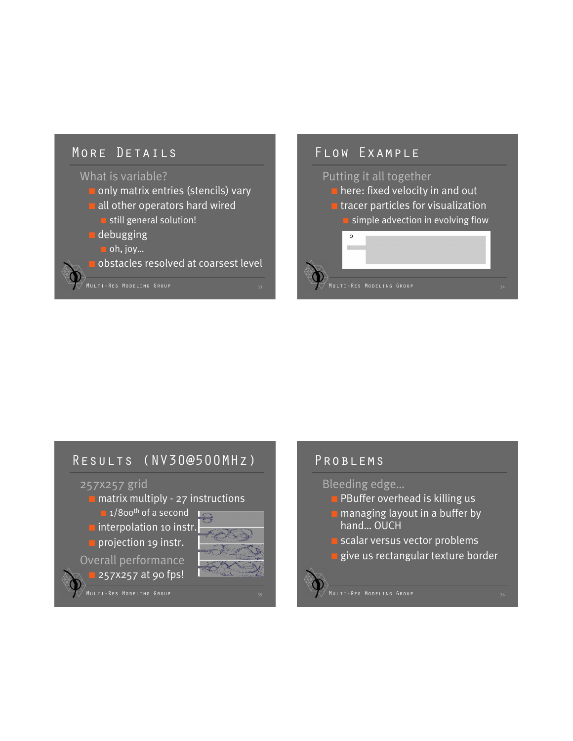# MORE DETAILS

#### What is variable?

- only matrix entries (stencils) vary
- all other operators hard wired
	- still general solution!
- debugging
- oh, joy...

obstacles resolved at coarsest level

# Flow Example Putting it all together ■ here: fixed velocity in and out ■ tracer particles for visualization simple advection in evolving flow  $\circ$ **Multi–Res Modeling Group**

## Results (NV30@500MHz)

#### 257x257 grid

■ matrix multiply - 27 instructions

 $\blacksquare$  1/800<sup>th</sup> of a second

**I** interpolation 10 instr. **projection 19 instr.** 

Overall performance

■ 257x257 at 90 fps!

MULTI-RES MODELING GROUP

## PROBLEMS

Bleeding edge…

- **B**uffer overhead is killing us
- managing layout in a buffer by hand… OUCH
- scalar versus vector problems
	- give us rectangular texture border



MULTI-RES MODELING GROUP